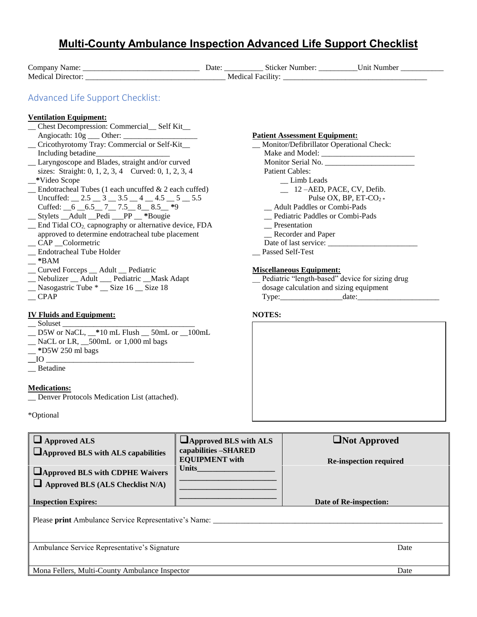## **Multi-County Ambulance Inspection Advanced Life Support Checklist** Company Name: \_\_\_\_\_\_\_\_\_\_\_\_\_\_\_\_\_\_\_\_\_\_\_\_\_\_\_\_\_\_ Date: \_\_\_\_\_\_\_\_\_\_ Sticker Number: \_\_\_\_\_\_\_\_\_\_Unit Number \_\_\_\_\_\_\_\_\_\_\_ Medical Director: \_\_\_\_\_\_\_\_\_\_\_\_\_\_\_\_\_\_\_\_\_\_\_\_\_\_\_\_\_\_\_\_\_\_\_\_ Medical Facility: \_\_\_\_\_\_\_\_\_\_\_\_\_\_\_\_\_\_\_\_\_\_\_\_\_\_\_\_\_\_\_\_\_\_\_\_\_ Advanced Life Support Checklist: **Ventilation Equipment:** \_\_ Chest Decompression: Commercial\_\_ Self Kit\_\_ Angiocath: 10g \_\_\_ Other: \_\_\_\_\_\_\_\_\_\_\_\_\_\_\_\_\_\_\_ \_\_ Cricothyrotomy Tray: Commercial or Self-Kit\_\_ Including betadine\_\_\_\_\_\_\_\_\_\_\_\_\_\_\_\_\_\_\_ \_\_ Laryngoscope and Blades, straight and/or curved sizes: Straight: 0, 1, 2, 3, 4 Curved: 0, 1, 2, 3, 4 \_\_**\***Video Scope \_\_ Endotracheal Tubes (1 each uncuffed & 2 each cuffed) Uncuffed:  $\_\,$  2.5  $\_\,$  3  $\_\,$  3.5  $\_\,$  4  $\_\,$  4.5  $\_\,$  5  $\_\,$  5.5 Cuffed: \_\_6 \_\_6.5\_\_ 7\_\_ 7.5\_\_ 8\_\_ 8.5\_\_ **\***9 \_\_ Stylets \_\_Adult \_\_Pedi \_\_\_PP \_\_ **\***Bougie \_\_ End Tidal CO2, capnography or alternative device, FDA approved to determine endotracheal tube placement \_\_ CAP \_\_Colormetric \_\_ Endotracheal Tube Holder \_\_ **\***BAM \_\_ Curved Forceps \_\_ Adult \_\_ Pediatric \_\_ Nebulizer \_\_ Adult \_\_\_ Pediatric \_\_Mask Adapt \_\_ Nasogastric Tube \* \_\_ Size 16 \_\_ Size 18  $-CPAP$ **IV Fluids and Equipment:**  $\equiv$  Soluset  $\equiv$ \_\_ D5W or NaCL, \_\_**\***10 mL Flush \_\_ 50mL or \_\_100mL \_\_ NaCL or LR, \_\_500mL or 1,000 ml bags \_\_ **\***D5W 250 ml bags  $\Box$ IO  $\Box$ \_\_ Betadine **Medications:** \_\_ Denver Protocols Medication List (attached). **Patient Assessment Equipment:** Monitor/Defibrillator Operational Check: Make and Model: \_\_\_\_\_\_\_\_\_\_\_\_\_\_\_\_\_\_\_\_\_\_\_\_ Monitor Serial No. \_\_\_\_\_\_\_\_\_\_\_\_\_\_\_\_\_\_\_\_\_\_\_ Patient Cables: \_\_ Limb Leads \_\_ 12 –AED, PACE, CV, Defib. Pulse OX, BP, ET-CO<sub>2</sub> \* \_\_ Adult Paddles or Combi-Pads \_\_ Pediatric Paddles or Combi-Pads \_\_ Presentation \_\_ Recorder and Paper Date of last service:  $\frac{1}{\sqrt{2\pi}}$ \_\_ Passed Self-Test **Miscellaneous Equipment:** Pediatric "length-based" device for sizing drug dosage calculation and sizing equipment Type:\_\_\_\_\_\_\_\_\_\_\_\_\_\_\_\_date:\_\_\_\_\_\_\_\_\_\_\_\_\_\_\_\_\_\_\_\_\_ **NOTES:**

\*Optional

| $\Box$ Approved ALS<br><b>Approved BLS with ALS capabilities</b><br><b>Approved BLS with CDPHE Waivers</b><br>$\Box$ Approved BLS (ALS Checklist N/A) | $\Box$ Approved BLS with ALS<br>capabilities -SHARED<br><b>EQUIPMENT</b> with<br><b>Units</b> | Not Approved<br><b>Re-inspection required</b> |  |  |  |
|-------------------------------------------------------------------------------------------------------------------------------------------------------|-----------------------------------------------------------------------------------------------|-----------------------------------------------|--|--|--|
| <b>Inspection Expires:</b>                                                                                                                            |                                                                                               | Date of Re-inspection:                        |  |  |  |
| Please print Ambulance Service Representative's Name: ____                                                                                            |                                                                                               |                                               |  |  |  |
| Ambulance Service Representative's Signature                                                                                                          |                                                                                               | Date                                          |  |  |  |
| Mona Fellers, Multi-County Ambulance Inspector                                                                                                        |                                                                                               | Date                                          |  |  |  |